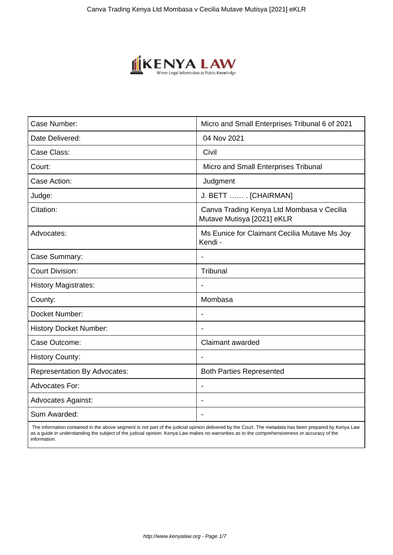

| Case Number:                        | Micro and Small Enterprises Tribunal 6 of 2021                          |
|-------------------------------------|-------------------------------------------------------------------------|
| Date Delivered:                     | 04 Nov 2021                                                             |
| Case Class:                         | Civil                                                                   |
| Court:                              | Micro and Small Enterprises Tribunal                                    |
| Case Action:                        | Judgment                                                                |
| Judge:                              | J. BETT  [CHAIRMAN]                                                     |
| Citation:                           | Canva Trading Kenya Ltd Mombasa v Cecilia<br>Mutave Mutisya [2021] eKLR |
| Advocates:                          | Ms Eunice for Claimant Cecilia Mutave Ms Joy<br>Kendi -                 |
| Case Summary:                       | $\overline{\phantom{a}}$                                                |
| <b>Court Division:</b>              | Tribunal                                                                |
| <b>History Magistrates:</b>         |                                                                         |
| County:                             | Mombasa                                                                 |
| Docket Number:                      | $\overline{\phantom{a}}$                                                |
| <b>History Docket Number:</b>       |                                                                         |
| Case Outcome:                       | <b>Claimant awarded</b>                                                 |
| <b>History County:</b>              |                                                                         |
| <b>Representation By Advocates:</b> | <b>Both Parties Represented</b>                                         |
| Advocates For:                      | Ĭ.                                                                      |
| <b>Advocates Against:</b>           |                                                                         |
| Sum Awarded:                        | $\blacksquare$                                                          |

 The information contained in the above segment is not part of the judicial opinion delivered by the Court. The metadata has been prepared by Kenya Law as a guide in understanding the subject of the judicial opinion. Kenya Law makes no warranties as to the comprehensiveness or accuracy of the information.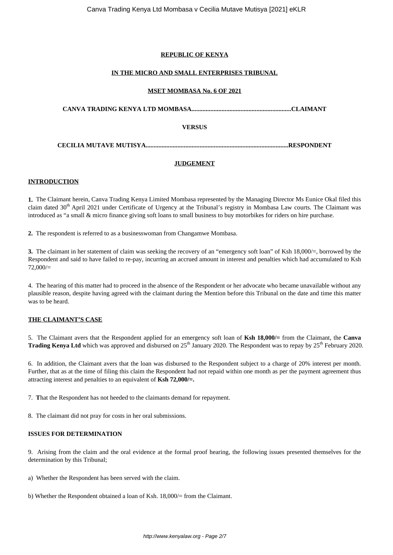## **REPUBLIC OF KENYA**

## **IN THE MICRO AND SMALL ENTERPRISES TRIBUNAL**

## **MSET MOMBASA No. 6 OF 2021**

**CANVA TRADING KENYA LTD MOMBASA...............................................................CLAIMANT**

## **VERSUS**

**CECILIA MUTAVE MUTISYA..........................................................................................RESPONDENT**

## **JUDGEMENT**

## **INTRODUCTION**

**1.** The Claimant herein, Canva Trading Kenya Limited Mombasa represented by the Managing Director Ms Eunice Okal filed this claim dated  $30<sup>th</sup>$  April 2021 under Certificate of Urgency at the Tribunal's registry in Mombasa Law courts. The Claimant was introduced as "a small & micro finance giving soft loans to small business to buy motorbikes for riders on hire purchase.

**2.** The respondent is referred to as a businesswoman from Changamwe Mombasa.

**3.** The claimant in her statement of claim was seeking the recovery of an "emergency soft loan" of Ksh 18,000/=, borrowed by the Respondent and said to have failed to re-pay, incurring an accrued amount in interest and penalties which had accumulated to Ksh  $72,000/$ 

4. The hearing of this matter had to proceed in the absence of the Respondent or her advocate who became unavailable without any plausible reason, despite having agreed with the claimant during the Mention before this Tribunal on the date and time this matter was to be heard.

## **THE CLAIMANT'S CASE**

5. The Claimant avers that the Respondent applied for an emergency soft loan of **Ksh 18,000/=** from the Claimant, the **Canva Trading Kenya Ltd** which was approved and disbursed on 25<sup>th</sup> January 2020. The Respondent was to repay by 25<sup>th</sup> February 2020.

6. In addition, the Claimant avers that the loan was disbursed to the Respondent subject to a charge of 20% interest per month. Further, that as at the time of filing this claim the Respondent had not repaid within one month as per the payment agreement thus attracting interest and penalties to an equivalent of **Ksh 72,000/=.**

7. **T**hat the Respondent has not heeded to the claimants demand for repayment.

8. The claimant did not pray for costs in her oral submissions.

## **ISSUES FOR DETERMINATION**

9. Arising from the claim and the oral evidence at the formal proof hearing, the following issues presented themselves for the determination by this Tribunal;

a) Whether the Respondent has been served with the claim.

b) Whether the Respondent obtained a loan of Ksh. 18,000/= from the Claimant.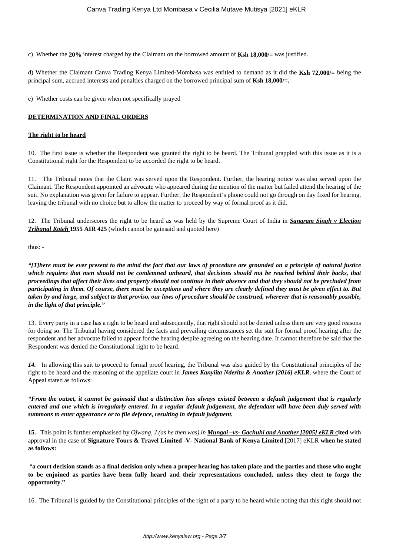c) Whether the **20%** interest charged by the Claimant on the borrowed amount of **Ksh 18,000/=** was justified.

d) Whether the Claimant Canva Trading Kenya Limited-Mombasa was entitled to demand as it did the **Ksh 72,000/=** being the principal sum, accrued interests and penalties charged on the borrowed principal sum of **Ksh 18,000/=.**

e) Whether costs can be given when not specifically prayed

## **DETERMINATION AND FINAL ORDERS**

#### **The right to be heard**

10. The first issue is whether the Respondent was granted the right to be heard. The Tribunal grappled with this issue as it is a Constitutional right for the Respondent to be accorded the right to be heard.

11. The Tribunal notes that the Claim was served upon the Respondent. Further, the hearing notice was also served upon the Claimant. The Respondent appointed an advocate who appeared during the mention of the matter but failed attend the hearing of the suit. No explanation was given for failure to appear. Further, the Respondent's phone could not go through on day fixed for hearing, leaving the tribunal with no choice but to allow the matter to proceed by way of formal proof as it did.

12. The Tribunal underscores the right to be heard as was held by the Supreme Court of India in *Sangram Singh v Election Tribunal Koteh* **1955 AIR 425** (which cannot be gainsaid and quoted here)

thus: -

*"[T]here must be ever present to the mind the fact that our laws of procedure are grounded on a principle of natural justice which requires that men should not be condemned unheard, that decisions should not be reached behind their backs, that proceedings that affect their lives and property should not continue in their absence and that they should not be precluded from participating in them. Of course, there must be exceptions and where they are clearly defined they must be given effect to. But taken by and large, and subject to that proviso, our laws of procedure should be construed, wherever that is reasonably possible, in the light of that principle."*

13. Every party in a case has a right to be heard and subsequently, that right should not be denied unless there are very good reasons for doing so. The Tribunal having considered the facts and prevailing circumstances set the suit for formal proof hearing after the respondent and her advocate failed to appear for the hearing despite agreeing on the hearing date. It cannot therefore be said that the Respondent was denied the Constitutional right to be heard.

*14.* In allowing this suit to proceed to formal proof hearing, the Tribunal was also guided by the Constitutional principles of the right to be heard and the reasoning of the appellate court in *James Kanyiita Nderitu & Another [2016] eKLR*, where the Court of Appeal stated as follows:

*"From the outset, it cannot be gainsaid that a distinction has always existed between a default judgement that is regularly entered and one which is irregularly entered. In a regular default judgement, the defendant will have been duly served with summons to enter appearance or to file defence, resulting in default judgment.*

**15.** This point is further emphasised by *Ojwang, J (as he then was) in Mungai –vs- Gachuhi and Another [2005] eKLR* c**ited** with approval in the case of **Signature Tours & Travel Limited -V- National Bank of Kenya Limited** [2017] eKLR **when he stated as follows:** 

"**a court decision stands as a final decision only when a proper hearing has taken place and the parties and those who ought to be enjoined as parties have been fully heard and their representations concluded, unless they elect to forgo the opportunity."**

16. The Tribunal is guided by the Constitutional principles of the right of a party to be heard while noting that this right should not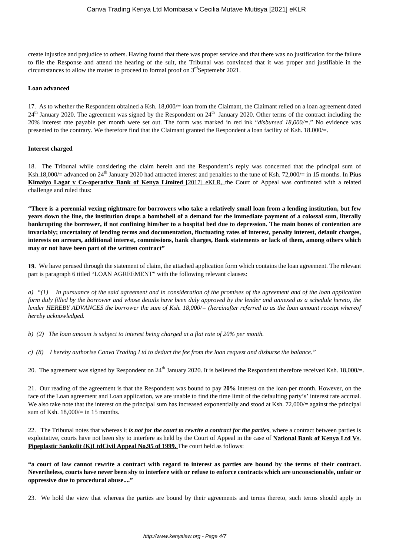create injustice and prejudice to others. Having found that there was proper service and that there was no justification for the failure to file the Response and attend the hearing of the suit, the Tribunal was convinced that it was proper and justifiable in the circumstances to allow the matter to proceed to formal proof on  $3<sup>rd</sup>$ Septemebr 2021.

#### **Loan advanced**

17. As to whether the Respondent obtained a Ksh. 18,000/= loan from the Claimant, the Claimant relied on a loan agreement dated  $24<sup>th</sup>$  January 2020. The agreement was signed by the Respondent on  $24<sup>th</sup>$  January 2020. Other terms of the contract including the 20% interest rate payable per month were set out. The form was marked in red ink "*disbursed 18,000/=*." No evidence was presented to the contrary. We therefore find that the Claimant granted the Respondent a loan facility of Ksh. 18.000/=.

#### **Interest charged**

18. The Tribunal while considering the claim herein and the Respondent's reply was concerned that the principal sum of Ksh.18,000/= advanced on 24<sup>th</sup> January 2020 had attracted interest and penalties to the tune of Ksh. 72,000/= in 15 months. In **Pius Kimaiyo Lagat v Co-operative Bank of Kenya Limited** [2017] eKLR, the Court of Appeal was confronted with a related challenge and ruled thus:

**"There is a perennial vexing nightmare for borrowers who take a relatively small loan from a lending institution, but few years down the line, the institution drops a bombshell of a demand for the immediate payment of a colossal sum, literally bankrupting the borrower, if not confining him/her to a hospital bed due to depression. The main bones of contention are invariably; uncertainty of lending terms and documentation, fluctuating rates of interest, penalty interest, default charges, interests on arrears, additional interest, commissions, bank charges, Bank statements or lack of them, among others which may or not have been part of the written contract"**

**19.** We have perused through the statement of claim, the attached application form which contains the loan agreement. The relevant part is paragraph 6 titled "LOAN AGREEMENT" with the following relevant clauses:

*a) "(1) In pursuance of the said agreement and in consideration of the promises of the agreement and of the loan application form duly filled by the borrower and whose details have been duly approved by the lender and annexed as a schedule hereto, the lender HEREBY ADVANCES the borrower the sum of Ksh. 18,000/= (hereinafter referred to as the loan amount receipt whereof hereby acknowledged.*

*b) (2) The loan amount is subject to interest being charged at a flat rate of 20% per month.* 

*c) (8) I hereby authorise Canva Trading Ltd to deduct the fee from the loan request and disburse the balance."* 

20. The agreement was signed by Respondent on  $24^{th}$  January 2020. It is believed the Respondent therefore received Ksh. 18,000/=.

21. Our reading of the agreement is that the Respondent was bound to pay **20%** interest on the loan per month. However, on the face of the Loan agreement and Loan application, we are unable to find the time limit of the defaulting party's' interest rate accrual. We also take note that the interest on the principal sum has increased exponentially and stood at Ksh. 72,000/= against the principal sum of Ksh. 18,000/= in 15 months.

22. The Tribunal notes that whereas it *is not for the court to rewrite a contract for the parties*, where a contract between parties is exploitative, courts have not been shy to interfere as held by the Court of Appeal in the case of **National Bank of Kenya Ltd Vs. Pipeplastic Sankolit (K)LtdCivil Appeal No.95 of 1999.** The court held as follows:

**"a court of law cannot rewrite a contract with regard to interest as parties are bound by the terms of their contract. Nevertheless, courts have never been shy to interfere with or refuse to enforce contracts which are unconscionable, unfair or oppressive due to procedural abuse...."**

23. We hold the view that whereas the parties are bound by their agreements and terms thereto, such terms should apply in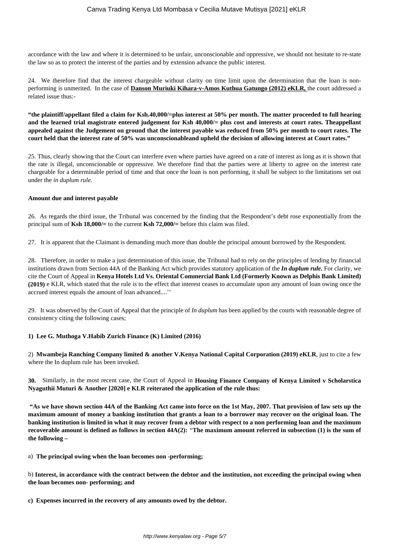accordance with the law and where it is determined to be unfair, unconscionable and oppressive, we should not hesitate to re-state the law so as to protect the interest of the parties and by extension advance the public interest.

24. We therefore find that the interest chargeable without clarity on time limit upon the determination that the loan is nonperforming is unmerited. In the case of **Danson Muriuki Kihara-v-Amos Kuthua Gatungo (2012) eKLR,** the court addressed a related issue thus:-

**"the plaintiff/appellant filed a claim for Ksh.40,000/=plus interest at 50% per month. The matter proceeded to full hearing and the learned trial magistrate entered judgement for Ksh 40,000/= plus cost and interests at court rates. Theappellant appealed against the Judgement on ground that the interest payable was reduced from 50% per month to court rates. The court held that the interest rate of 50% was unconscionableand upheld the decision of allowing interest at Court rates."**

25. Thus, clearly showing that the Court can interfere even where parties have agreed on a rate of interest as long as it is shown that the rate is illegal, unconscionable or oppressive. We therefore find that the parties were at liberty to agree on the interest rate chargeable for a determinable period of time and that once the loan is non performing, it shall be subject to the limitations set out under the *in duplum rule.* 

#### **Amount due and interest payable**

26. As regards the third issue, the Tribunal was concerned by the finding that the Respondent's debt rose exponentially from the principal sum of **Ksh 18,000/=** to the current **Ksh 72,000/=** before this claim was filed.

27. It is apparent that the Claimant is demanding much more than double the principal amount borrowed by the Respondent.

28. Therefore, in order to make a just determination of this issue, the Tribunal had to rely on the principles of lending by financial institutions drawn from Section 44A of the Banking Act which provides statutory application of the *In duplum rule.* For clarity, we cite the Court of Appeal in **Kenya Hotels Ltd Vs. Oriental Commercial Bank Ltd (Formerly Known as Delphis Bank Limited) (2019)** e KLR, which stated that the rule is to the effect that interest ceases to accumulate upon any amount of loan owing once the accrued interest equals the amount of loan advanced....''

29. It was observed by the Court of Appeal that the principle of *In duplum* has been applied by the courts with reasonable degree of consistency citing the following cases;

## **1) Lee G. Muthoga V.Habib Zurich Finance (K) Limited (2016)**

2) **Mwambeja Ranching Company limited & another V.Kenya National Capital Corporation (2019) eKLR**, just to cite a few where the In duplum rule has been invoked.

**30.** Similarly, in the most recent case, the Court of Appeal in **Housing Finance Company of Kenya Limited v Scholarstica Nyaguthii Muturi & Another [2020] e KLR reiterated the application of the rule thus:** 

**"As we have shown section 44A of the Banking Act came into force on the 1st May, 2007. That provision of law sets up the maximum amount of money a banking institution that grants a loan to a borrower may recover on the original loan. The banking institution is limited in what it may recover from a debtor with respect to a non performing loan and the maximum recoverable amount is defined as follows in section 44A(2):** *"***The maximum amount referred in subsection (1) is the sum of the following –**

a) **The principal owing when the loan becomes non -performing;**

b) **Interest, in accordance with the contract between the debtor and the institution, not exceeding the principal owing when the loan becomes non- performing; and**

**c) Expenses incurred in the recovery of any amounts owed by the debtor.**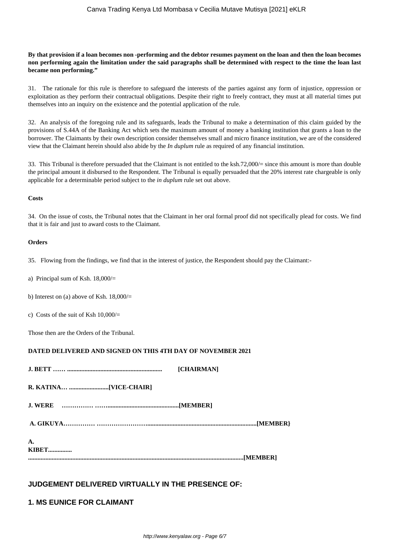## **By that provision if a loan becomes non -performing and the debtor resumes payment on the loan and then the loan becomes non performing again the limitation under the said paragraphs shall be determined with respect to the time the loan last became non performing."**

31. The rationale for this rule is therefore to safeguard the interests of the parties against any form of injustice, oppression or exploitation as they perform their contractual obligations. Despite their right to freely contract, they must at all material times put themselves into an inquiry on the existence and the potential application of the rule.

32. An analysis of the foregoing rule and its safeguards, leads the Tribunal to make a determination of this claim guided by the provisions of S.44A of the Banking Act which sets the maximum amount of money a banking institution that grants a loan to the borrower. The Claimants by their own description consider themselves small and micro finance institution, we are of the considered view that the Claimant herein should also abide by the *In duplum* rule as required of any financial institution.

33. This Tribunal is therefore persuaded that the Claimant is not entitled to the ksh.72,000/= since this amount is more than double the principal amount it disbursed to the Respondent. The Tribunal is equally persuaded that the 20% interest rate chargeable is only applicable for a determinable period subject to the *in duplum* rule set out above.

#### **Costs**

34. On the issue of costs, the Tribunal notes that the Claimant in her oral formal proof did not specifically plead for costs. We find that it is fair and just to award costs to the Claimant.

## **Orders**

35. Flowing from the findings, we find that in the interest of justice, the Respondent should pay the Claimant:-

- a) Principal sum of Ksh. 18,000/=
- b) Interest on (a) above of Ksh.  $18,000/$ =
- c) Costs of the suit of Ksh  $10,000/$

Those then are the Orders of the Tribunal.

## **DATED DELIVERED AND SIGNED ON THIS 4TH DAY OF NOVEMBER 2021**

|              | <b>[CHAIRMAN]</b> |
|--------------|-------------------|
|              |                   |
|              |                   |
|              |                   |
| A.           |                   |
| <b>KIBET</b> |                   |

## **JUDGEMENT DELIVERED VIRTUALLY IN THE PRESENCE OF:**

## **1. MS EUNICE FOR CLAIMANT**